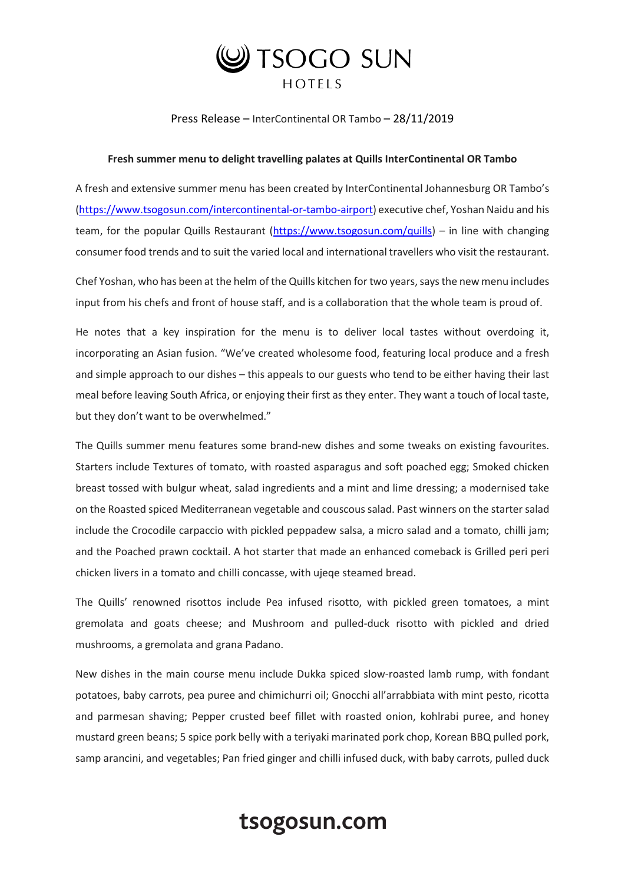

Press Release – InterContinental OR Tambo – 28/11/2019

## **Fresh summer menu to delight travelling palates at Quills InterContinental OR Tambo**

A fresh and extensive summer menu has been created by InterContinental Johannesburg OR Tambo's [\(https://www.tsogosun.com/intercontinental-or-tambo-airport\)](https://www.tsogosun.com/intercontinental-or-tambo-airport) executive chef, Yoshan Naidu and his team, for the popular Quills Restaurant [\(https://www.tsogosun.com/quills\)](https://www.tsogosun.com/quills) – in line with changing consumer food trends and to suit the varied local and international travellers who visit the restaurant.

Chef Yoshan, who has been at the helm of the Quills kitchen for two years, says the new menu includes input from his chefs and front of house staff, and is a collaboration that the whole team is proud of.

He notes that a key inspiration for the menu is to deliver local tastes without overdoing it, incorporating an Asian fusion. "We've created wholesome food, featuring local produce and a fresh and simple approach to our dishes – this appeals to our guests who tend to be either having their last meal before leaving South Africa, or enjoying their first as they enter. They want a touch of local taste, but they don't want to be overwhelmed."

The Quills summer menu features some brand-new dishes and some tweaks on existing favourites. Starters include Textures of tomato, with roasted asparagus and soft poached egg; Smoked chicken breast tossed with bulgur wheat, salad ingredients and a mint and lime dressing; a modernised take on the Roasted spiced Mediterranean vegetable and couscous salad. Past winners on the starter salad include the Crocodile carpaccio with pickled peppadew salsa, a micro salad and a tomato, chilli jam; and the Poached prawn cocktail. A hot starter that made an enhanced comeback is Grilled peri peri chicken livers in a tomato and chilli concasse, with ujeqe steamed bread.

The Quills' renowned risottos include Pea infused risotto, with pickled green tomatoes, a mint gremolata and goats cheese; and Mushroom and pulled-duck risotto with pickled and dried mushrooms, a gremolata and grana Padano.

New dishes in the main course menu include Dukka spiced slow-roasted lamb rump, with fondant potatoes, baby carrots, pea puree and chimichurri oil; Gnocchi all'arrabbiata with mint pesto, ricotta and parmesan shaving; Pepper crusted beef fillet with roasted onion, kohlrabi puree, and honey mustard green beans; 5 spice pork belly with a teriyaki marinated pork chop, Korean BBQ pulled pork, samp arancini, and vegetables; Pan fried ginger and chilli infused duck, with baby carrots, pulled duck

## tsogosun.com